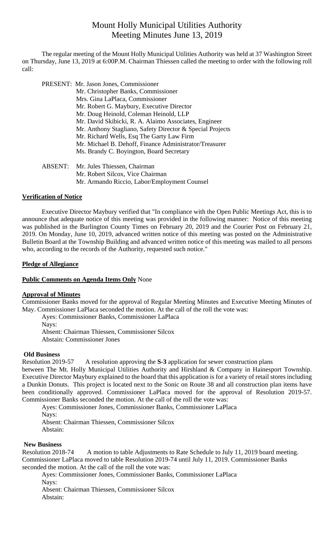# Mount Holly Municipal Utilities Authority Meeting Minutes June 13, 2019

 The regular meeting of the Mount Holly Municipal Utilities Authority was held at 37 Washington Street on Thursday, June 13, 2019 at 6:00P.M. Chairman Thiessen called the meeting to order with the following roll call:

|                | PRESENT: Mr. Jason Jones, Commissioner                    |
|----------------|-----------------------------------------------------------|
|                | Mr. Christopher Banks, Commissioner                       |
|                | Mrs. Gina LaPlaca, Commissioner                           |
|                | Mr. Robert G. Maybury, Executive Director                 |
|                | Mr. Doug Heinold, Coleman Heinold, LLP                    |
|                | Mr. David Skibicki, R. A. Alaimo Associates, Engineer     |
|                | Mr. Anthony Stagliano, Safety Director & Special Projects |
|                | Mr. Richard Wells, Esq The Garty Law Firm                 |
|                | Mr. Michael B. Dehoff, Finance Administrator/Treasurer    |
|                | Ms. Brandy C. Boyington, Board Secretary                  |
|                |                                                           |
| <b>ABSENT:</b> | Mr. Jules Thiessen, Chairman                              |
|                | Mr. Robert Silcox, Vice Chairman                          |

Mr. Armando Riccio, Labor/Employment Counsel

#### **Verification of Notice**

Executive Director Maybury verified that "In compliance with the Open Public Meetings Act, this is to announce that adequate notice of this meeting was provided in the following manner: Notice of this meeting was published in the Burlington County Times on February 20, 2019 and the Courier Post on February 21, 2019. On Monday, June 10, 2019, advanced written notice of this meeting was posted on the Administrative Bulletin Board at the Township Building and advanced written notice of this meeting was mailed to all persons who, according to the records of the Authority, requested such notice."

## **Pledge of Allegiance**

## **Public Comments on Agenda Items Only** None

#### **Approval of Minutes**

Commissioner Banks moved for the approval of Regular Meeting Minutes and Executive Meeting Minutes of May. Commissioner LaPlaca seconded the motion. At the call of the roll the vote was:

Ayes: Commissioner Banks, Commissioner LaPlaca

Nays:

Absent: Chairman Thiessen, Commissioner Silcox

Abstain: Commissioner Jones

#### **Old Business**

Resolution 2019-57 A resolution approving the **S-3** application for sewer construction plans

between The Mt. Holly Municipal Utilities Authority and Hirshland & Company in Hainesport Township. Executive Director Maybury explained to the board that this application is for a variety of retail stores including a Dunkin Donuts. This project is located next to the Sonic on Route 38 and all construction plan items have been conditionally approved. Commissioner LaPlaca moved for the approval of Resolution 2019-57. Commissioner Banks seconded the motion. At the call of the roll the vote was:

Ayes: Commissioner Jones, Commissioner Banks, Commissioner LaPlaca

Nays:

Absent: Chairman Thiessen, Commissioner Silcox Abstain:

#### **New Business**

Resolution 2018-74A motion to table Adjustments to Rate Schedule to July 11, 2019 board meeting. Commissioner LaPlaca moved to table Resolution 2019-74 until July 11, 2019. Commissioner Banks seconded the motion. At the call of the roll the vote was:

Ayes: Commissioner Jones, Commissioner Banks, Commissioner LaPlaca Nays:

Absent: Chairman Thiessen, Commissioner Silcox Abstain: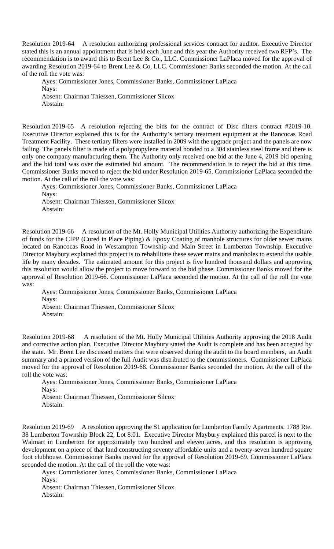Resolution 2019-64 A resolution authorizing professional services contract for auditor. Executive Director stated this is an annual appointment that is held each June and this year the Authority received two RFP's. The recommendation is to award this to Brent Lee & Co., LLC. Commissioner LaPlaca moved for the approval of awarding Resolution 2019-64 to Brent Lee & Co, LLC. Commissioner Banks seconded the motion. At the call of the roll the vote was:

Ayes: Commissioner Jones, Commissioner Banks, Commissioner LaPlaca Nays: Absent: Chairman Thiessen, Commissioner Silcox Abstain:

Resolution 2019-65 A resolution rejecting the bids for the contract of Disc filters contract #2019-10. Executive Director explained this is for the Authority's tertiary treatment equipment at the Rancocas Road Treatment Facility. These tertiary filters were installed in 2009 with the upgrade project and the panels are now failing. The panels filter is made of a polypropylene material bonded to a 304 stainless steel frame and there is only one company manufacturing them. The Authority only received one bid at the June 4, 2019 bid opening and the bid total was over the estimated bid amount. The recommendation is to reject the bid at this time. Commissioner Banks moved to reject the bid under Resolution 2019-65. Commissioner LaPlaca seconded the motion. At the call of the roll the vote was:

Ayes: Commissioner Jones, Commissioner Banks, Commissioner LaPlaca Nays:

Absent: Chairman Thiessen, Commissioner Silcox Abstain:

Resolution 2019-66 A resolution of the Mt. Holly Municipal Utilities Authority authorizing the Expenditure of funds for the CIPP (Cured in Place Piping) & Epoxy Coating of manhole structures for older sewer mains located on Rancocas Road in Westampton Township and Main Street in Lumberton Township. Executive Director Maybury explained this project is to rehabilitate these sewer mains and manholes to extend the usable life by many decades. The estimated amount for this project is five hundred thousand dollars and approving this resolution would allow the project to move forward to the bid phase. Commissioner Banks moved for the approval of Resolution 2019-66. Commissioner LaPlaca seconded the motion. At the call of the roll the vote was:

Ayes: Commissioner Jones, Commissioner Banks, Commissioner LaPlaca Nays: Absent: Chairman Thiessen, Commissioner Silcox Abstain:

Resolution 2019-68 A resolution of the Mt. Holly Municipal Utilities Authority approving the 2018 Audit and corrective action plan. Executive Director Maybury stated the Audit is complete and has been accepted by the state. Mr. Brent Lee discussed matters that were observed during the audit to the board members, an Audit summary and a printed version of the full Audit was distributed to the commissioners. Commissioner LaPlaca moved for the approval of Resolution 2019-68. Commissioner Banks seconded the motion. At the call of the roll the vote was:

Ayes: Commissioner Jones, Commissioner Banks, Commissioner LaPlaca Navs:

Absent: Chairman Thiessen, Commissioner Silcox Abstain:

Resolution 2019-69 A resolution approving the S1 application for Lumberton Family Apartments, 1788 Rte. 38 Lumberton Township Block 22, Lot 8.01. Executive Director Maybury explained this parcel is next to the Walmart in Lumberton for approximately two hundred and eleven acres, and this resolution is approving development on a piece of that land constructing seventy affordable units and a twenty-seven hundred square foot clubhouse. Commissioner Banks moved for the approval of Resolution 2019-69. Commissioner LaPlaca seconded the motion. At the call of the roll the vote was:

Ayes: Commissioner Jones, Commissioner Banks, Commissioner LaPlaca Nays: Absent: Chairman Thiessen, Commissioner Silcox Abstain: